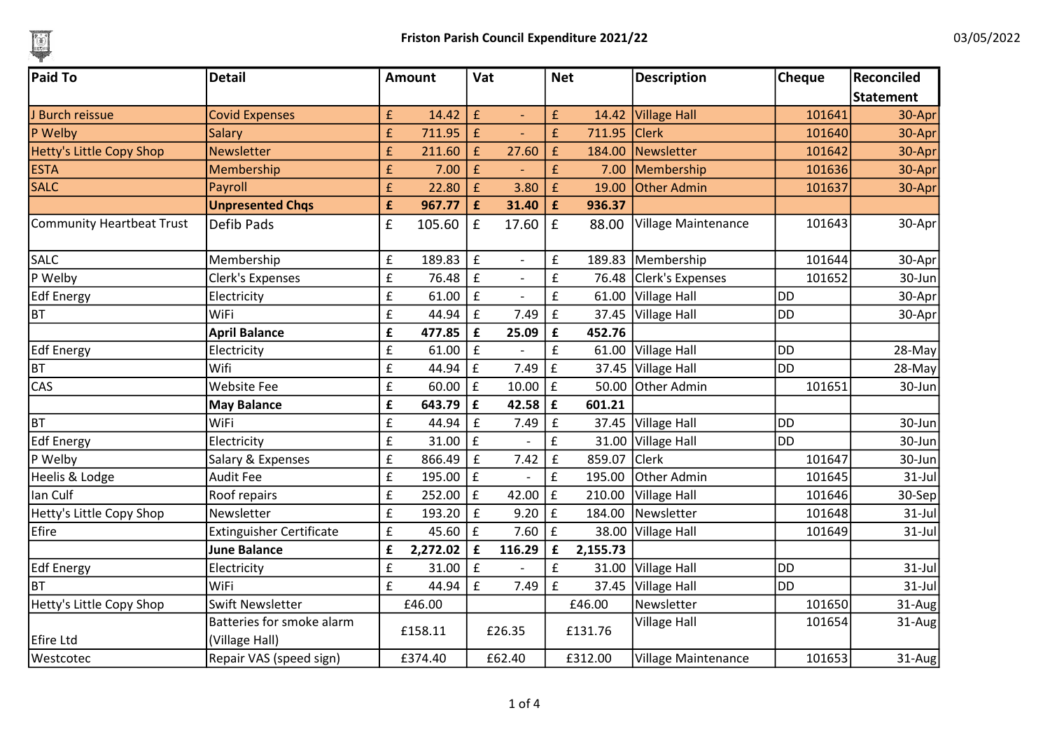l'ej

| <b>Paid To</b>            | <b>Detail</b>                               |                    | Amount    | Vat                |                          | <b>Net</b>         |          | <b>Description</b>         | <b>Cheque</b> | Reconciled |
|---------------------------|---------------------------------------------|--------------------|-----------|--------------------|--------------------------|--------------------|----------|----------------------------|---------------|------------|
|                           |                                             |                    |           |                    |                          |                    |          |                            |               | Statement  |
| J Burch reissue           | <b>Covid Expenses</b>                       | £                  | 14.42     | £                  |                          | £                  |          | 14.42 Village Hall         | 101641        | 30-Apr     |
| P Welby                   | Salary                                      | $\pmb{\mathsf{f}}$ | 711.95    | $\pmb{\mathsf{f}}$ |                          | £                  | 711.95   | <b>Clerk</b>               | 101640        | 30-Apr     |
| Hetty's Little Copy Shop  | Newsletter                                  | £                  | 211.60    | £                  | 27.60                    | $\mathbf f$        | 184.00   | Newsletter                 | 101642        | 30-Apr     |
| <b>ESTA</b>               | Membership                                  | $\pmb{\mathsf{f}}$ | 7.00      | $\pmb{\mathsf{f}}$ |                          | £                  | 7.00     | Membership                 | 101636        | 30-Apr     |
| <b>SALC</b>               | Payroll                                     | £                  | 22.80     | £                  | 3.80                     | £                  | 19.00    | Other Admin                | 101637        | 30-Apr     |
|                           | <b>Unpresented Chqs</b>                     | £                  | 967.77    | £                  | 31.40                    | £                  | 936.37   |                            |               |            |
| Community Heartbeat Trust | Defib Pads                                  | £                  | 105.60    | £                  | 17.60                    | $\pmb{\mathsf{f}}$ | 88.00    | Village Maintenance        | 101643        | 30-Apr     |
| SALC                      | Membership                                  | £                  | 189.83    | $\pmb{\mathsf{f}}$ | $\blacksquare$           | $\pmb{\mathsf{f}}$ |          | 189.83 Membership          | 101644        | 30-Apr     |
| P Welby                   | Clerk's Expenses                            | $\pmb{\mathsf{f}}$ | 76.48     | $\mathbf f$        | $\overline{\phantom{a}}$ | $\pmb{\mathsf{f}}$ | 76.48    | Clerk's Expenses           | 101652        | 30-Jun     |
| <b>Edf Energy</b>         | Electricity                                 | £                  | 61.00     | $\mathbf f$        | $\overline{\phantom{a}}$ | $\pmb{\mathsf{f}}$ | 61.00    | <b>Village Hall</b>        | DD            | 30-Apr     |
| BT                        | WiFi                                        | $\pmb{\mathsf{f}}$ | 44.94     | $\pmb{\mathsf{f}}$ | 7.49                     | $\pmb{\mathsf{f}}$ | 37.45    | <b>Village Hall</b>        | ldd           | 30-Apr     |
|                           | <b>April Balance</b>                        | £                  | 477.85    | £                  | 25.09                    | £                  | 452.76   |                            |               |            |
| <b>Edf Energy</b>         | Electricity                                 | £                  | 61.00     | $\pmb{\mathsf{f}}$ |                          | £                  |          | 61.00 Village Hall         | DD            | 28-May     |
| BT                        | Wifi                                        | £                  | 44.94     | $\pmb{\mathsf{f}}$ | 7.49                     | $\pmb{\mathsf{f}}$ |          | 37.45 Village Hall         | DD            | 28-May     |
| <b>CAS</b>                | <b>Website Fee</b>                          | $\pmb{\mathsf{f}}$ | 60.00     | f                  | 10.00                    | $\mathbf f$        |          | 50.00 Other Admin          | 101651        | 30-Jun     |
|                           | <b>May Balance</b>                          | £                  | 643.79    | $\mathbf f$        | 42.58                    | £                  | 601.21   |                            |               |            |
| BT                        | WiFi                                        | $\pmb{\mathsf{f}}$ | 44.94     | £                  | 7.49                     | $\pmb{\mathsf{f}}$ | 37.45    | Village Hall               | DD            | 30-Jun     |
| <b>Edf Energy</b>         | Electricity                                 | £                  | 31.00     | $\pmb{\mathsf{f}}$ |                          | £                  | 31.00    | <b>Village Hall</b>        | <b>DD</b>     | 30-Jun     |
| P Welby                   | Salary & Expenses                           | $\pmb{\mathsf{f}}$ | 866.49    | $\mathbf f$        | 7.42                     | $\mathbf f$        | 859.07   | Clerk                      | 101647        | 30-Jun     |
| Heelis & Lodge            | <b>Audit Fee</b>                            | $\mathbf f$        | 195.00    | $\pmb{\mathsf{f}}$ |                          | $\pmb{\mathrm{f}}$ | 195.00   | Other Admin                | 101645        | $31$ -Jul  |
| Ian Culf                  | Roof repairs                                | £                  | 252.00    | $\pmb{\mathsf{f}}$ | 42.00                    | $\pmb{\mathsf{f}}$ | 210.00   | <b>Village Hall</b>        | 101646        | 30-Sep     |
| Hetty's Little Copy Shop  | Newsletter                                  | £                  | 193.20    | $\pmb{\mathsf{f}}$ | 9.20                     | $\pmb{\mathsf{f}}$ | 184.00   | Newsletter                 | 101648        | $31$ -Jul  |
| <b>Efire</b>              | <b>Extinguisher Certificate</b>             | $\pmb{\mathsf{f}}$ | 45.60 $E$ |                    | 7.60                     | $\mathbf f$        |          | 38.00 Village Hall         | 101649        | 31-Jul     |
|                           | <b>June Balance</b>                         | £                  | 2,272.02  | $\mathbf f$        | 116.29                   | £                  | 2,155.73 |                            |               |            |
| <b>Edf Energy</b>         | Electricity                                 | $\pmb{\mathsf{f}}$ | 31.00     | f                  |                          | £                  | 31.00    | Village Hall               | <b>DD</b>     | 31-Jul     |
| Івт                       | WiFi                                        | £                  | 44.94     | £                  | 7.49                     | $\pmb{\mathsf{f}}$ | 37.45    | <b>Village Hall</b>        | ldd           | $31$ -Jul  |
| Hetty's Little Copy Shop  | <b>Swift Newsletter</b>                     |                    | £46.00    |                    |                          |                    | £46.00   | Newsletter                 | 101650        | 31-Aug     |
| Efire Ltd                 | Batteries for smoke alarm<br>(Village Hall) |                    | £158.11   |                    | £26.35                   |                    | £131.76  | <b>Village Hall</b>        | 101654        | 31-Aug     |
| Westcotec                 | Repair VAS (speed sign)                     |                    | £374.40   |                    | £62.40                   |                    | £312.00  | <b>Village Maintenance</b> | 101653        | 31-Aug     |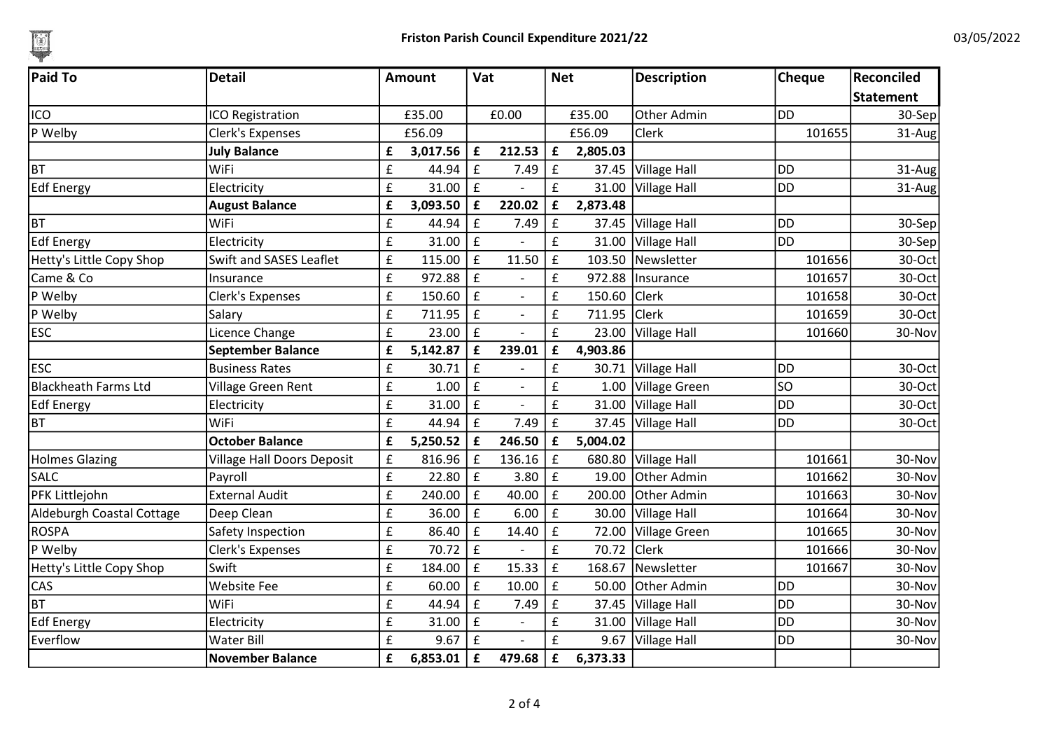l'ej

| Paid To                   | <b>Detail</b>                     |                    | <b>Amount</b> | Vat                |                          | <b>Net</b>         |          | <b>Description</b>   | <b>Cheque</b> | Reconciled       |
|---------------------------|-----------------------------------|--------------------|---------------|--------------------|--------------------------|--------------------|----------|----------------------|---------------|------------------|
|                           |                                   |                    |               |                    |                          |                    |          |                      |               | <b>Statement</b> |
| lico                      | ICO Registration                  |                    | £35.00        |                    | £0.00                    |                    | £35.00   | Other Admin          | ldd           | 30-Sep           |
| P Welby                   | Clerk's Expenses                  |                    | £56.09        |                    |                          |                    | £56.09   | Clerk                | 101655        | 31-Aug           |
|                           | <b>July Balance</b>               | £                  | 3,017.56      | f                  | 212.53                   | £                  | 2,805.03 |                      |               |                  |
| Івт                       | WiFi                              | $\pmb{\mathsf{f}}$ | 44.94         | $\mathbf f$        | 7.49                     | $\pmb{\mathsf{f}}$ | 37.45    | <b>Village Hall</b>  | ldd           | 31-Aug           |
| Edf Energy                | Electricity                       | £                  | 31.00         | f                  | $\mathbf{r}$             | $\mathbf f$        |          | 31.00   Village Hall | <b>DD</b>     | 31-Aug           |
|                           | <b>August Balance</b>             | £                  | 3,093.50      | $\mathbf f$        | 220.02                   | £                  | 2,873.48 |                      |               |                  |
| BT                        | WiFi                              | £                  | 44.94         | $\pmb{\mathsf{f}}$ | 7.49                     | $\pmb{\mathsf{f}}$ |          | 37.45   Village Hall | ldd           | 30-Sep           |
| <b>Edf</b> Energy         | Electricity                       | £                  | 31.00         | $\mathbf f$        |                          | $\pmb{\mathsf{f}}$ | 31.00    | Village Hall         | ldd           | 30-Sep           |
| Hetty's Little Copy Shop  | Swift and SASES Leaflet           | $\pmb{\mathsf{f}}$ | 115.00        | $\pmb{\mathsf{f}}$ | 11.50                    | $\mathbf f$        |          | 103.50 Newsletter    | 101656        | 30-Oct           |
| Came & Co                 | Insurance                         | $\pmb{\mathsf{f}}$ | 972.88        | $\pmb{\mathsf{f}}$ |                          | £                  | 972.88   | Insurance            | 101657        | 30-Oct           |
| P Welby                   | <b>Clerk's Expenses</b>           | £                  | 150.60        | $\mathbf f$        | $\overline{\phantom{a}}$ | £                  | 150.60   | Clerk                | 101658        | 30-Oct           |
| P Welby                   | Salary                            | $\pmb{\mathsf{f}}$ | 711.95        | $\pmb{\mathsf{f}}$ | $\overline{\phantom{a}}$ | $\pmb{\mathsf{f}}$ | 711.95   | Clerk                | 101659        | 30-Oct           |
| <b>ESC</b>                | Licence Change                    | £                  | 23.00         | $\vert f$          |                          | $\mathbf f$        |          | 23.00 Village Hall   | 101660        | 30-Nov           |
|                           | <b>September Balance</b>          | £                  | 5,142.87      | £                  | 239.01                   | £                  | 4,903.86 |                      |               |                  |
| <b>ESC</b>                | <b>Business Rates</b>             | £                  | 30.71         | $\pmb{\mathsf{f}}$ |                          | £                  |          | 30.71 Village Hall   | <b>DD</b>     | 30-Oct           |
| Blackheath Farms Ltd      | Village Green Rent                | $\pmb{\mathsf{f}}$ | 1.00          | $\mathbf f$        |                          | £                  | 1.00     | <b>Village Green</b> | lso           | 30-Oct           |
| <b>Edf Energy</b>         | Electricity                       | £                  | 31.00         | $\pmb{\mathsf{f}}$ |                          | £                  |          | 31.00 Village Hall   | <b>DD</b>     | 30-Oct           |
| BT                        | WiFi                              | $\pmb{\mathsf{f}}$ | 44.94         | $\pmb{\mathrm{f}}$ | 7.49                     | $\pmb{\mathsf{f}}$ | 37.45    | <b>Village Hall</b>  | <b>DD</b>     | 30-Oct           |
|                           | <b>October Balance</b>            | £                  | 5,250.52      | $\mathbf f$        | 246.50                   | £                  | 5,004.02 |                      |               |                  |
| <b>Holmes Glazing</b>     | <b>Village Hall Doors Deposit</b> | $\pmb{\mathsf{f}}$ | 816.96        | E                  | 136.16                   | $\mathbf f$        | 680.80   | Village Hall         | 101661        | 30-Nov           |
| <b>SALC</b>               | Payroll                           | $\pmb{\mathsf{f}}$ | 22.80         | $\pmb{\mathsf{f}}$ | 3.80                     | $\pmb{\mathsf{f}}$ |          | 19.00 Other Admin    | 101662        | 30-Nov           |
| PFK Littlejohn            | <b>External Audit</b>             | $\pmb{\mathsf{f}}$ | 240.00        | $\mathbf f$        | 40.00                    | $\pmb{\mathsf{f}}$ | 200.00   | Other Admin          | 101663        | 30-Nov           |
| Aldeburgh Coastal Cottage | Deep Clean                        | £                  | 36.00         | $\pmb{\mathsf{f}}$ | 6.00                     | $\pmb{\mathsf{f}}$ | 30.00    | Village Hall         | 101664        | 30-Nov           |
| ROSPA                     | Safety Inspection                 | $\pmb{\mathsf{f}}$ | 86.40         | $\pmb{\mathsf{f}}$ | 14.40                    | $\mathbf f$        | 72.00    | <b>Village Green</b> | 101665        | 30-Nov           |
| P Welby                   | Clerk's Expenses                  | $\pmb{\mathsf{f}}$ | 70.72         | $\pmb{\mathsf{f}}$ |                          | $\mathbf f$        | 70.72    | Clerk                | 101666        | 30-Nov           |
| Hetty's Little Copy Shop  | Swift                             | $\pmb{\mathsf{f}}$ | 184.00        | $\pmb{\mathsf{f}}$ | 15.33                    | $\pmb{\mathsf{f}}$ | 168.67   | Newsletter           | 101667        | 30-Nov           |
| <b>CAS</b>                | <b>Website Fee</b>                | $\pmb{\mathsf{f}}$ | 60.00         | $\mathbf f$        | 10.00                    | $\pmb{\mathsf{f}}$ | 50.00    | Other Admin          | DD            | 30-Nov           |
| BT                        | WiFi                              | $\pmb{\mathsf{f}}$ | 44.94         | $\pmb{\mathsf{f}}$ | 7.49                     | $\mathbf f$        | 37.45    | Village Hall         | <b>DD</b>     | 30-Nov           |
| <b>Edf Energy</b>         | Electricity                       | $\pmb{\mathsf{f}}$ | 31.00         | $\mathbf f$        | $\sim$                   | £                  |          | 31.00 Village Hall   | <b>DD</b>     | 30-Nov           |
| Everflow                  | Water Bill                        | $\pmb{\mathsf{f}}$ | 9.67          | $\mathbf f$        |                          | £                  | 9.67     | Village Hall         | DD            | 30-Nov           |
|                           | <b>November Balance</b>           | £                  | 6,853.01      | $\pmb{\mathsf{f}}$ | 479.68                   | $\pmb{\mathsf{f}}$ | 6,373.33 |                      |               |                  |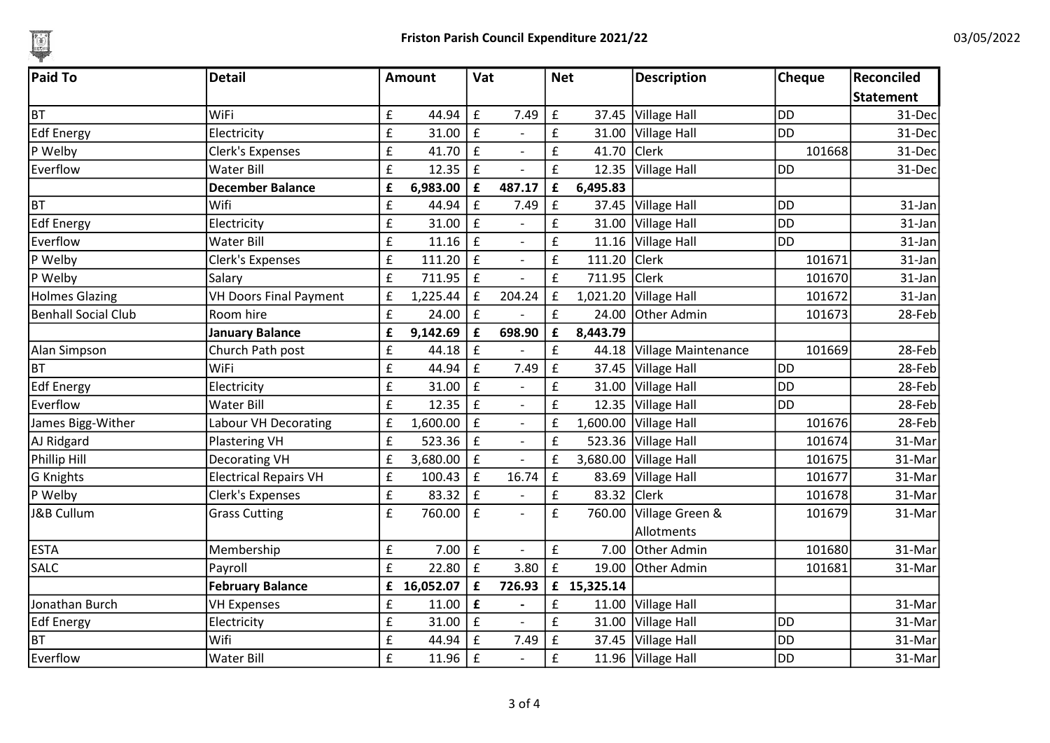

| <b>Paid To</b>           | <b>Detail</b>                 |                    | <b>Amount</b> | Vat                |                          | <b>Net</b>         |              | <b>Description</b>        | <b>Cheque</b> | Reconciled       |
|--------------------------|-------------------------------|--------------------|---------------|--------------------|--------------------------|--------------------|--------------|---------------------------|---------------|------------------|
|                          |                               |                    |               |                    |                          |                    |              |                           |               | <b>Statement</b> |
| <b>BT</b>                | WiFi                          | £                  | 44.94         | $\mathbf f$        | 7.49                     | $\pmb{\mathsf{f}}$ |              | 37.45   Village Hall      | <b>DD</b>     | 31-Dec           |
| Edf Energy               | Electricity                   | $\pmb{\mathrm{f}}$ | 31.00         | $\mathbf f$        |                          | $\pmb{\mathsf{f}}$ |              | 31.00 Village Hall        | ldd           | 31-Dec           |
| P Welby                  | <b>Clerk's Expenses</b>       | £                  | 41.70         | f                  | $\overline{\phantom{a}}$ | £                  | 41.70        | <b>Clerk</b>              | 101668        | 31-Dec           |
| Everflow                 | <b>Water Bill</b>             | $\pmb{\mathsf{f}}$ | 12.35         | $\mathbf f$        | $\overline{a}$           | $\pmb{\mathsf{f}}$ |              | 12.35 Village Hall        | <b>DD</b>     | 31-Dec           |
|                          | <b>December Balance</b>       | £                  | 6,983.00      | f                  | 487.17                   | $\pmb{\mathsf{f}}$ | 6,495.83     |                           |               |                  |
| $\overline{\mathsf{BT}}$ | Wifi                          | $\pmb{\mathsf{f}}$ | 44.94         | $\mathbf f$        | 7.49                     | £                  |              | 37.45   Village Hall      | <b>DD</b>     | 31-Jan           |
| <b>Edf Energy</b>        | Electricity                   | $\pmb{\mathsf{f}}$ | 31.00         | f                  | $\overline{\phantom{a}}$ | $\pmb{\mathsf{f}}$ |              | 31.00 Village Hall        | <b>DD</b>     | 31-Jan           |
| Everflow                 | Water Bill                    | $\pmb{\mathsf{f}}$ | 11.16         | $\pmb{\mathsf{f}}$ | $\overline{\phantom{a}}$ | £                  |              | 11.16 Village Hall        | ldd           | 31-Jan           |
| P Welby                  | Clerk's Expenses              | £                  | 111.20        | $\pmb{\mathsf{f}}$ |                          | £                  | 111.20 Clerk |                           | 101671        | 31-Jan           |
| P Welby                  | Salary                        | $\pmb{\mathsf{f}}$ | 711.95        | $\mathbf f$        |                          | $\mathbf f$        | 711.95 Clerk |                           | 101670        | 31-Jan           |
| Holmes Glazing           | <b>VH Doors Final Payment</b> | £                  | 1,225.44      | $\pmb{\mathsf{f}}$ | 204.24                   | £                  |              | $1,021.20$ Village Hall   | 101672        | 31-Jan           |
| Benhall Social Club      | Room hire                     | $\pmb{\mathsf{f}}$ | 24.00         | E                  |                          | $\pmb{\mathsf{f}}$ | 24.00        | Other Admin               | 101673        | 28-Feb           |
|                          | <b>January Balance</b>        | £                  | 9,142.69      | £                  | 698.90                   | £                  | 8,443.79     |                           |               |                  |
| Alan Simpson             | Church Path post              | $\pmb{\mathsf{f}}$ | 44.18         | $\mathbf f$        |                          | £                  |              | 44.18 Village Maintenance | 101669        | 28-Feb           |
| BT                       | WiFi                          | $\pmb{\mathsf{f}}$ | 44.94         | $\pmb{\mathrm{f}}$ | 7.49                     | $\pmb{\mathsf{f}}$ |              | 37.45   Village Hall      | <b>DD</b>     | 28-Feb           |
| Edf Energy               | Electricity                   | $\pmb{\mathsf{f}}$ | 31.00         | $\mathbf f$        |                          | $\mathbf f$        | 31.00        | <b>Village Hall</b>       | ldd           | 28-Feb           |
| Everflow                 | <b>Water Bill</b>             | $\pmb{\mathsf{f}}$ | 12.35         | $\pmb{\mathsf{f}}$ |                          | £                  |              | 12.35   Village Hall      | <b>DD</b>     | 28-Feb           |
| James Bigg-Wither        | Labour VH Decorating          | £                  | 1,600.00      | $\pmb{\mathsf{f}}$ |                          | $\pmb{\mathsf{f}}$ |              | $1,600.00$ Village Hall   | 101676        | 28-Feb           |
| AJ Ridgard               | <b>Plastering VH</b>          | £                  | 523.36        | $\mathbf f$        | $\overline{\phantom{a}}$ | $\pmb{\mathsf{f}}$ |              | 523.36 Village Hall       | 101674        | 31-Mar           |
| Phillip Hill             | Decorating VH                 | $\pmb{\mathsf{f}}$ | 3,680.00      | f                  |                          | $\pmb{\mathsf{f}}$ |              | 3,680.00 Village Hall     | 101675        | 31-Mar           |
| G Knights                | <b>Electrical Repairs VH</b>  | $\pmb{\mathsf{f}}$ | 100.43        | f                  | 16.74                    | $\mathbf f$        |              | 83.69 Village Hall        | 101677        | 31-Mar           |
| P Welby                  | <b>Clerk's Expenses</b>       | £                  | 83.32         | $\mathbf f$        |                          | $\pmb{\mathsf{f}}$ | 83.32 Clerk  |                           | 101678        | 31-Mar           |
| J&B Cullum               | <b>Grass Cutting</b>          | £                  | 760.00        | $\mathbf f$        | $\overline{\phantom{a}}$ | £                  | 760.00       | Village Green &           | 101679        | 31-Mar           |
|                          |                               |                    |               |                    |                          |                    |              | Allotments                |               |                  |
| <b>ESTA</b>              | Membership                    | £                  | 7.00          | $\pmb{\mathsf{f}}$ |                          | $\pmb{\mathsf{f}}$ | 7.00         | Other Admin               | 101680        | 31-Mar           |
| <b>SALC</b>              | Payroll                       | $\pmb{\mathsf{f}}$ | 22.80         | $\pmb{\mathsf{f}}$ | 3.80                     | $\pmb{\mathsf{f}}$ | 19.00        | <b>Other Admin</b>        | 101681        | 31-Mar           |
|                          | <b>February Balance</b>       | £                  | 16,052.07     | £                  | 726.93                   |                    | £ 15,325.14  |                           |               |                  |
| Jonathan Burch           | <b>VH Expenses</b>            | $\pmb{\mathsf{f}}$ | 11.00         | $\mathbf f$        | $\overline{\phantom{a}}$ | £                  | 11.00        | Village Hall              |               | 31-Mar           |
| <b>Edf Energy</b>        | Electricity                   | £                  | 31.00         | $\pmb{\mathsf{f}}$ | $\overline{a}$           | £                  |              | 31.00 Village Hall        | ldd           | 31-Mar           |
| BT                       | Wifi                          | £                  | 44.94         | $\pmb{\mathsf{f}}$ | 7.49                     | $\pmb{\mathsf{f}}$ |              | 37.45   Village Hall      | ldd           | 31-Mar           |
| Everflow                 | <b>Water Bill</b>             | $\pmb{\mathsf{f}}$ | 11.96         | $\pmb{\mathsf{f}}$ |                          | $\mathbf f$        |              | 11.96 Village Hall        | <b>DD</b>     | 31-Mar           |